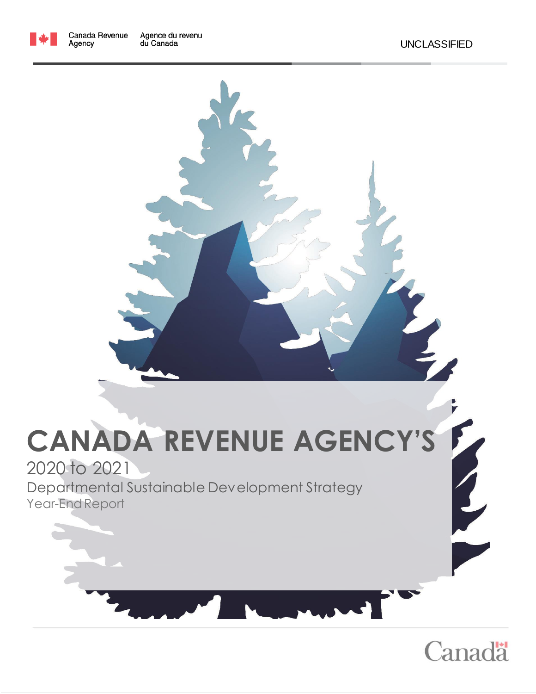

Agency



# **CANADA REVENUE AGENCY'S**

## 2020 to 2021

Departmental Sustainable Development Strategy Year-End Report



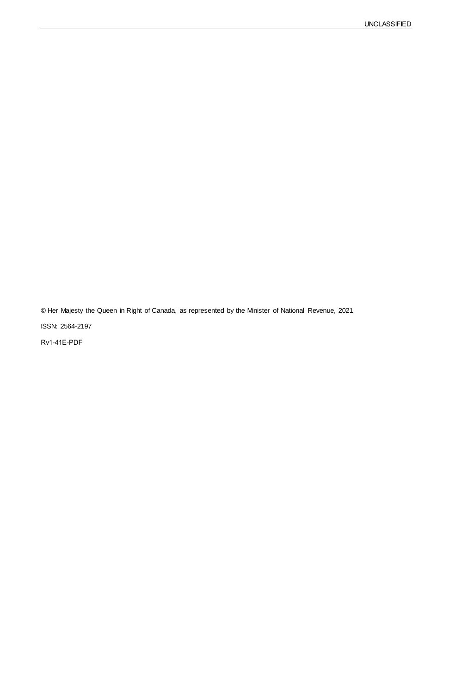© Her Majesty the Queen in Right of Canada, as represented by the Minister of National Revenue, 2021

ISSN: 2564-2197

Rv1-41E-PDF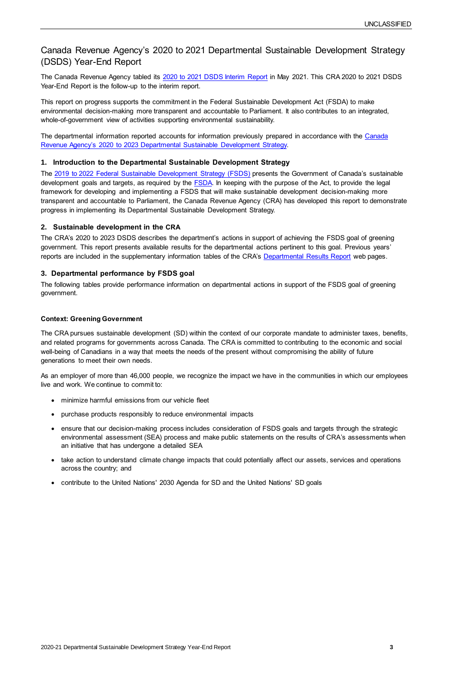2020-21 Departmental Sustainable Development Strategy Year-End Report **3**

### Canada Revenue Agency's 2020 to 2021 Departmental Sustainable Development Strategy (DSDS) Year-End Report

The Canada Revenue Agency tabled its [2020 to 2021 DSDS Interim Report](https://www.canada.ca/en/revenue-agency/corporate/about-canada-revenue-agency-cra/sustainable-development/sustainable-development-planning-reporting-evaluation/sd-2020-21-strategy-interim-report.html) in May 2021. This CRA 2020 to 2021 DSDS Year-End Report is the follow-up to the interim report.

The departmental information reported accounts for information previously prepared in accordance with the Canada Revenue Agency's 2020 to 2023 [Departmental Sustainable Development Strategy.](https://www.canada.ca/en/revenue-agency/corporate/about-canada-revenue-agency-cra/sustainable-development/dsds-2020-23.html) 

This report on progress supports the commitment in the Federal Sustainable Development Act (FSDA) to make environmental decision-making more transparent and accountable to Parliament. It also contributes to an integrated, whole-of-government view of activities supporting environmental sustainability.

The CRA's 2020 to 2023 DSDS describes the department's actions in support of achieving the FSDS goal of greening government. This report presents available results for the departmental actions pertinent to this goal. Previous years' reports are included in the supplementary information tables of the CRA's [Departmental Results Report](https://www.canada.ca/en/revenue-agency/corporate/about-canada-revenue-agency-cra/departmental-performance-reports.html) web pages.

#### **1. Introduction to the Departmental Sustainable Development Strategy**

The 2019 to 2022 [Federal Sustainable Development Strategy \(FSDS\)](https://www.fsds-sfdd.ca/index.html#/en/goals/) presents the Government of Canada's sustainable development goals and targets, as required by the **FSDA**. In keeping with the purpose of the Act, to provide the legal framework for developing and implementing a FSDS that will make sustainable development decision-making more transparent and accountable to Parliament, the Canada Revenue Agency (CRA) has developed this report to demonstrate progress in implementing its Departmental Sustainable Development Strategy.

#### **2. Sustainable development in the CRA**

#### **3. Departmental performance by FSDS goal**

The following tables provide performance information on departmental actions in support of the FSDS goal of greening government.

#### **Context: Greening Government**

The CRA pursues sustainable development (SD) within the context of our corporate mandate to administer taxes, benefits, and related programs for governments across Canada. The CRA is committed to contributing to the economic and social well-being of Canadians in a way that meets the needs of the present without compromising the ability of future generations to meet their own needs.

As an employer of more than 46,000 people, we recognize the impact we have in the communities in which our employees live and work. We continue to commit to:

- minimize harmful emissions from our vehicle fleet
- purchase products responsibly to reduce environmental impacts
- ensure that our decision-making process includes consideration of FSDS goals and targets through the strategic environmental assessment (SEA) process and make public statements on the results of CRA's assessments when an initiative that has undergone a detailed SEA
- take action to understand climate change impacts that could potentially affect our assets, services and operations across the country; and
- contribute to the United Nations' 2030 Agenda for SD and the United Nations' SD goals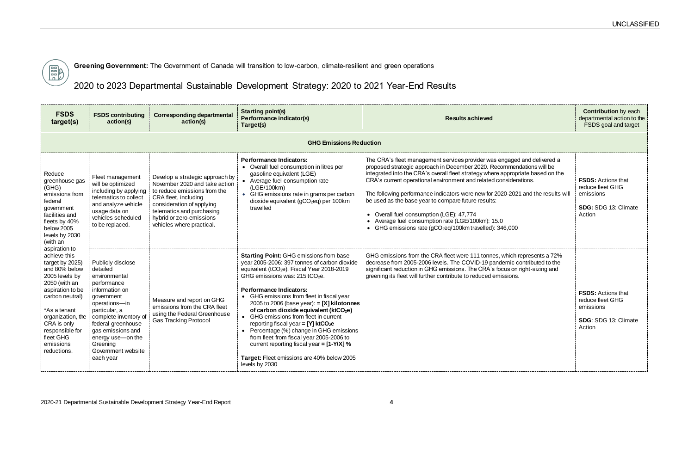

**Greening Government:** The Government of Canada will transition to low-carbon, climate-resilient and green operations

2020 to 2023 Departmental Sustainable Development Strategy: 2020 to 2021 Year-End Results

| <b>FSDS</b><br>target(s)                                                                                                                                                                                                                                                                                                                                                                                                   | <b>FSDS contributing</b><br>action(s)                                                                                                                                                                                                                                   | <b>Corresponding departmental</b><br>action(s)                                                                                                                                                                                              | <b>Starting point(s)</b><br>Performance indicator(s)<br>Target(s)                                                                                                                                                                                                                                                                                                                                                                                                                                                                                                                                                                                                                              | <b>Results achieved</b>                                                                                                                                                                                                                                                                                                                                                                                                                                                                                                                                                                                                      |
|----------------------------------------------------------------------------------------------------------------------------------------------------------------------------------------------------------------------------------------------------------------------------------------------------------------------------------------------------------------------------------------------------------------------------|-------------------------------------------------------------------------------------------------------------------------------------------------------------------------------------------------------------------------------------------------------------------------|---------------------------------------------------------------------------------------------------------------------------------------------------------------------------------------------------------------------------------------------|------------------------------------------------------------------------------------------------------------------------------------------------------------------------------------------------------------------------------------------------------------------------------------------------------------------------------------------------------------------------------------------------------------------------------------------------------------------------------------------------------------------------------------------------------------------------------------------------------------------------------------------------------------------------------------------------|------------------------------------------------------------------------------------------------------------------------------------------------------------------------------------------------------------------------------------------------------------------------------------------------------------------------------------------------------------------------------------------------------------------------------------------------------------------------------------------------------------------------------------------------------------------------------------------------------------------------------|
|                                                                                                                                                                                                                                                                                                                                                                                                                            |                                                                                                                                                                                                                                                                         |                                                                                                                                                                                                                                             | <b>GHG Emissions Reduction</b>                                                                                                                                                                                                                                                                                                                                                                                                                                                                                                                                                                                                                                                                 |                                                                                                                                                                                                                                                                                                                                                                                                                                                                                                                                                                                                                              |
| Reduce<br>greenhouse gas<br>(GHG)<br>emissions from<br>federal<br>government<br>facilities and<br>fleets by 40%<br>below 2005<br>levels by 2030<br>(with an<br>aspiration to<br>achieve this<br>target by 2025)<br>and 80% below<br>2005 levels by<br>2050 (with an<br>aspiration to be<br>carbon neutral)<br>*As a tenant<br>organization, the<br>CRA is only<br>responsible for<br>fleet GHG<br>emissions<br>reductions. | Fleet management<br>will be optimized<br>including by applying<br>telematics to collect<br>and analyze vehicle<br>usage data on<br>vehicles scheduled<br>to be replaced.                                                                                                | Develop a strategic approach by<br>November 2020 and take action<br>to reduce emissions from the<br>CRA fleet, including<br>consideration of applying<br>telematics and purchasing<br>hybrid or zero-emissions<br>vehicles where practical. | <b>Performance Indicators:</b><br>• Overall fuel consumption in litres per<br>gasoline equivalent (LGE)<br>• Average fuel consumption rate<br>(LGE/100km)<br>• GHG emissions rate in grams per carbon<br>dioxide equivalent (gCO <sub>2</sub> eq) per 100km<br>travelled                                                                                                                                                                                                                                                                                                                                                                                                                       | The CRA's fleet management services provider was engaged and delivered a<br>proposed strategic approach in December 2020. Recommendations will be<br>integrated into the CRA's overall fleet strategy where appropriate based on the<br>CRA's current operational environment and related considerations.<br>The following performance indicators were new for 2020-2021 and the results will<br>be used as the base year to compare future results:<br>• Overall fuel consumption (LGE): 47,774<br>• Average fuel consumption rate (LGE/100km): 15.0<br>• GHG emissions rate (gCO <sub>2</sub> eq/100km travelled): 346,000 |
|                                                                                                                                                                                                                                                                                                                                                                                                                            | Publicly disclose<br>detailed<br>environmental<br>performance<br>information on<br>government<br>operations-in<br>particular, a<br>complete inventory of<br>federal greenhouse<br>gas emissions and<br>energy use-on the<br>Greening<br>Government website<br>each year | Measure and report on GHG<br>emissions from the CRA fleet<br>using the Federal Greenhouse<br><b>Gas Tracking Protocol</b>                                                                                                                   | <b>Starting Point: GHG emissions from base</b><br>year 2005-2006: 397 tonnes of carbon dioxide<br>equivalent (tCO <sub>2</sub> e). Fiscal Year 2018-2019<br>GHG emissions was: 215 tCO <sub>2</sub> e.<br><b>Performance Indicators:</b><br>GHG emissions from fleet in fiscal year<br>2005 to 2006 (base year): $= [X]$ kilotonnes<br>of carbon dioxide equivalent (ktCO <sub>2</sub> e)<br>• GHG emissions from fleet in current<br>reporting fiscal year = $[Y]$ ktCO <sub>2</sub> e<br>• Percentage (%) change in GHG emissions<br>from fleet from fiscal year 2005-2006 to<br>current reporting fiscal year = $[1-Y/X]$ %<br>Target: Fleet emissions are 40% below 2005<br>levels by 2030 | GHG emissions from the CRA fleet were 111 tonnes, which represents a 72%<br>decrease from 2005-2006 levels. The COVID-19 pandemic contributed to the<br>significant reduction in GHG emissions. The CRA's focus on right-sizing and<br>greening its fleet will further contribute to reduced emissions.                                                                                                                                                                                                                                                                                                                      |

|                                                                                                               | <b>Contribution</b> by each<br>departmental action to the<br>FSDS goal and target  |
|---------------------------------------------------------------------------------------------------------------|------------------------------------------------------------------------------------|
|                                                                                                               |                                                                                    |
| ged and delivered a<br>nendations will be<br>ropriate based on the<br>derations.<br>2021 and the results will | <b>FSDS: Actions that</b><br>reduce fleet GHG<br>emissions<br>SDG: SDG 13: Climate |
|                                                                                                               | Action                                                                             |
| )00                                                                                                           |                                                                                    |
| ch represents a 72%<br>ic contributed to the<br>on right-sizing and<br>ons.                                   |                                                                                    |
|                                                                                                               | <b>FSDS: Actions that</b><br>reduce fleet GHG<br>emissions                         |
|                                                                                                               | SDG: SDG 13: Climate<br>Action                                                     |
|                                                                                                               |                                                                                    |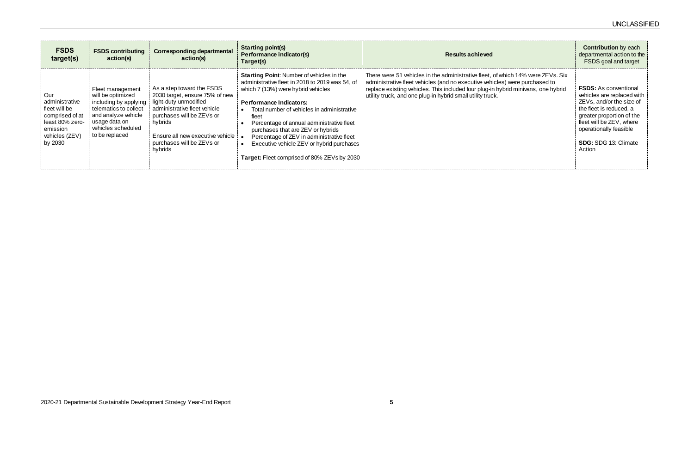| <b>FSDS</b><br>target(s)                                                                                              | <b>FSDS contributing</b><br>action(s)                                                                                                                                                           | <b>Corresponding departmental</b><br>action(s)                                                                                                                                                                                  | <b>Starting point(s)</b><br>Performance indicator(s)<br>Target(s)                                                                                                                                                                                                                                                                                                                                                                                                                 | <b>Results achieved</b>                                                                                                                                                                                                                                                                                           |
|-----------------------------------------------------------------------------------------------------------------------|-------------------------------------------------------------------------------------------------------------------------------------------------------------------------------------------------|---------------------------------------------------------------------------------------------------------------------------------------------------------------------------------------------------------------------------------|-----------------------------------------------------------------------------------------------------------------------------------------------------------------------------------------------------------------------------------------------------------------------------------------------------------------------------------------------------------------------------------------------------------------------------------------------------------------------------------|-------------------------------------------------------------------------------------------------------------------------------------------------------------------------------------------------------------------------------------------------------------------------------------------------------------------|
| Our<br>administrative<br>fleet will be<br>comprised of at<br>least 80% zero-<br>emission<br>vehicles (ZEV)<br>by 2030 | Fleet management<br>will be optimized<br>including by applying   light-duty unmodified<br>telematics to collect<br>and analyze vehicle<br>usage data on<br>vehicles scheduled<br>to be replaced | As a step toward the FSDS<br>2030 target, ensure 75% of new<br>administrative fleet vehicle<br>purchases will be ZEVs or<br>hybrids<br>Ensure all new executive vehicle $\frac{1}{2}$ .<br>purchases will be ZEVs or<br>hybrids | <b>Starting Point:</b> Number of vehicles in the<br>administrative fleet in 2018 to 2019 was 54, of<br>which 7 (13%) were hybrid vehicles<br><b>Performance Indicators:</b><br>Total number of vehicles in administrative<br>fleet<br>Percentage of annual administrative fleet<br>$\bullet$<br>purchases that are ZEV or hybrids<br>Percentage of ZEV in administrative fleet<br>Executive vehicle ZEV or hybrid purchases<br><b>Target:</b> Fleet comprised of 80% ZEVs by 2030 | There were 51 vehicles in the administrative fleet, of which 14% were ZEVs. Six<br>administrative fleet vehicles (and no executive vehicles) were purchased to<br>replace existing vehicles. This included four plug-in hybrid minivans, one hybrid<br>utility truck, and one plug-in hybrid small utility truck. |

|                                                                     | <b>Contribution</b> by each<br>departmental action to the<br><b>FSDS</b> goal and target                                                                                                                                               |
|---------------------------------------------------------------------|----------------------------------------------------------------------------------------------------------------------------------------------------------------------------------------------------------------------------------------|
| h 14% were ZEVs. Six<br>vere purchased to<br>d minivans, one hybrid | <b>FSDS:</b> As conventional<br>vehicles are replaced with<br>ZEVs, and/or the size of<br>the fleet is reduced, a<br>greater proportion of the<br>fleet will be ZEV, where<br>operationally feasible<br>SDG: SDG 13: Climate<br>Action |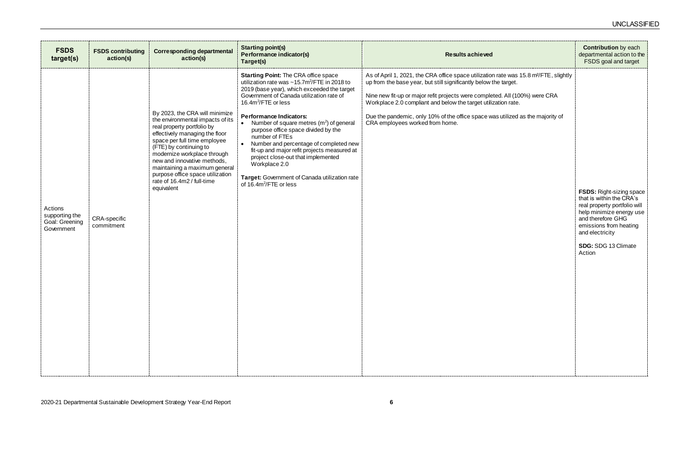| <b>FSDS</b><br>target(s)                                                                | <b>FSDS contributing</b><br>action(s) | <b>Corresponding departmental</b><br>action(s)                                                                                                                                                                                                                                                                                                                              | <b>Starting point(s)</b><br>Performance indicator(s)<br>Target(s)                                                                                                                                                                                                                                                                                                                                                                                                                                                                                                                                                                                    | <b>Results achieved</b>                                                                                                                                                                                                                                                                                                                                                                                                                     |
|-----------------------------------------------------------------------------------------|---------------------------------------|-----------------------------------------------------------------------------------------------------------------------------------------------------------------------------------------------------------------------------------------------------------------------------------------------------------------------------------------------------------------------------|------------------------------------------------------------------------------------------------------------------------------------------------------------------------------------------------------------------------------------------------------------------------------------------------------------------------------------------------------------------------------------------------------------------------------------------------------------------------------------------------------------------------------------------------------------------------------------------------------------------------------------------------------|---------------------------------------------------------------------------------------------------------------------------------------------------------------------------------------------------------------------------------------------------------------------------------------------------------------------------------------------------------------------------------------------------------------------------------------------|
| Actions<br>supporting the<br>Goal: Greening<br>Government<br>-------------------------- | <b>CRA-specific</b><br>commitment     | By 2023, the CRA will minimize<br>the environmental impacts of its<br>real property portfolio by<br>effectively managing the floor<br>space per full time employee<br>(FTE) by continuing to<br>modernize workplace through<br>new and innovative methods,<br>maintaining a maximum general<br>purpose office space utilization<br>rate of 16.4m2 / full-time<br>equivalent | <b>Starting Point: The CRA office space</b><br>utilization rate was $\sim$ 15.7m <sup>2</sup> /FTE in 2018 to<br>2019 (base year), which exceeded the target<br>Government of Canada utilization rate of<br>16.4m <sup>2</sup> /FTE or less<br><b>Performance Indicators:</b><br>Number of square metres $(m2)$ of general<br>$\bullet$<br>purpose office space divided by the<br>number of FTEs<br>$\bullet$<br>Number and percentage of completed new<br>fit-up and major refit projects measured at<br>project close-out that implemented<br>Workplace 2.0<br>Target: Government of Canada utilization rate<br>of 16.4m <sup>2</sup> /FTE or less | As of April 1, 2021, the CRA office space utilization rate was 15.8 m <sup>2</sup> /FTE, slightly<br>up from the base year, but still significantly below the target.<br>Nine new fit-up or major refit projects were completed. All (100%) were CRA<br>Workplace 2.0 compliant and below the target utilization rate.<br>Due the pandemic, only 10% of the office space was utilized as the majority of<br>CRA employees worked from home. |

|                                               | <b>Contribution</b> by each<br>departmental action to the<br><b>FSDS</b> goal and target                                                                                                  |
|-----------------------------------------------|-------------------------------------------------------------------------------------------------------------------------------------------------------------------------------------------|
| /as 15.8 m <sup>2</sup> /FTE, slightly<br>et. |                                                                                                                                                                                           |
| (100%) were CRA<br>ate.                       |                                                                                                                                                                                           |
| zed as the majority of                        |                                                                                                                                                                                           |
|                                               |                                                                                                                                                                                           |
|                                               |                                                                                                                                                                                           |
|                                               |                                                                                                                                                                                           |
|                                               | <b>FSDS: Right-sizing space</b><br>that is within the CRA's<br>real property portfolio will<br>help minimize energy use<br>and therefore GHG<br>emissions from heating<br>and electricity |
|                                               | <b>SDG: SDG 13 Climate</b><br>Action                                                                                                                                                      |
|                                               |                                                                                                                                                                                           |
|                                               |                                                                                                                                                                                           |
|                                               |                                                                                                                                                                                           |
|                                               |                                                                                                                                                                                           |
|                                               |                                                                                                                                                                                           |
|                                               |                                                                                                                                                                                           |
|                                               |                                                                                                                                                                                           |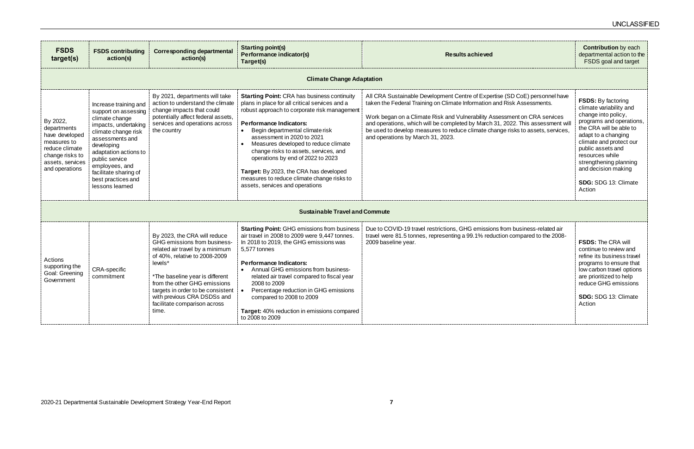| <b>FSDS</b><br>target(s)                                                                                                            | <b>FSDS contributing</b><br>action(s)                                                                                                                                                                                                                                          | <b>Corresponding departmental</b><br>action(s)                                                                                                                                                                                                                                                                              | <b>Starting point(s)</b><br>Performance indicator(s)<br>Target(s)                                                                                                                                                                                                                                                                                                                                                                                                                                        | <b>Results achieved</b>                                                                                                                                                                                                                                                                                                                                                                                                                      | <b>Contribution</b> by ea<br>departmental action<br>FSDS goal and tar                                                                                                                                                                                                                              |  |  |
|-------------------------------------------------------------------------------------------------------------------------------------|--------------------------------------------------------------------------------------------------------------------------------------------------------------------------------------------------------------------------------------------------------------------------------|-----------------------------------------------------------------------------------------------------------------------------------------------------------------------------------------------------------------------------------------------------------------------------------------------------------------------------|----------------------------------------------------------------------------------------------------------------------------------------------------------------------------------------------------------------------------------------------------------------------------------------------------------------------------------------------------------------------------------------------------------------------------------------------------------------------------------------------------------|----------------------------------------------------------------------------------------------------------------------------------------------------------------------------------------------------------------------------------------------------------------------------------------------------------------------------------------------------------------------------------------------------------------------------------------------|----------------------------------------------------------------------------------------------------------------------------------------------------------------------------------------------------------------------------------------------------------------------------------------------------|--|--|
|                                                                                                                                     | <b>Climate Change Adaptation</b>                                                                                                                                                                                                                                               |                                                                                                                                                                                                                                                                                                                             |                                                                                                                                                                                                                                                                                                                                                                                                                                                                                                          |                                                                                                                                                                                                                                                                                                                                                                                                                                              |                                                                                                                                                                                                                                                                                                    |  |  |
| By 2022,<br>departments<br>have developed<br>measures to<br>reduce climate<br>change risks to<br>assets, services<br>and operations | Increase training and<br>support on assessing<br>climate change<br>impacts, undertaking<br>climate change risk<br>assessments and<br>developing<br>adaptation actions to<br>public service<br>employees, and<br>facilitate sharing of<br>best practices and<br>lessons learned | By 2021, departments will take<br>action to understand the climate<br>change impacts that could<br>potentially affect federal assets,<br>services and operations across<br>the country                                                                                                                                      | <b>Starting Point: CRA has business continuity</b><br>plans in place for all critical services and a<br>robust approach to corporate risk management<br><b>Performance Indicators:</b><br>Begin departmental climate risk<br>assessment in 2020 to 2021<br>Measures developed to reduce climate<br>change risks to assets, services, and<br>operations by end of 2022 to 2023<br>Target: By 2023, the CRA has developed<br>measures to reduce climate change risks to<br>assets, services and operations | All CRA Sustainable Development Centre of Expertise (SD CoE) personnel have<br>taken the Federal Training on Climate Information and Risk Assessments.<br>Work began on a Climate Risk and Vulnerability Assessment on CRA services<br>and operations, which will be completed by March 31, 2022. This assessment wi<br>be used to develop measures to reduce climate change risks to assets, services,<br>and operations by March 31, 2023. | <b>FSDS:</b> By factoring<br>climate variability and<br>change into policy,<br>programs and operat<br>the CRA will be able<br>adapt to a changing<br>climate and protect o<br>public assets and<br>resources while<br>strengthening plannin<br>and decision making<br>SDG: SDG 13: Clima<br>Action |  |  |
|                                                                                                                                     | <b>Sustainable Travel and Commute</b>                                                                                                                                                                                                                                          |                                                                                                                                                                                                                                                                                                                             |                                                                                                                                                                                                                                                                                                                                                                                                                                                                                                          |                                                                                                                                                                                                                                                                                                                                                                                                                                              |                                                                                                                                                                                                                                                                                                    |  |  |
| Actions<br>supporting the<br>Goal: Greening<br>Government                                                                           | <b>CRA-specific</b><br>commitment                                                                                                                                                                                                                                              | By 2023, the CRA will reduce<br>GHG emissions from business-<br>related air travel by a minimum<br>of 40%, relative to 2008-2009<br>levels*<br>*The baseline year is different<br>from the other GHG emissions<br>targets in order to be consistent<br>with previous CRA DSDSs and<br>facilitate comparison across<br>time. | <b>Starting Point: GHG emissions from business</b><br>air travel in 2008 to 2009 were 9,447 tonnes.<br>In 2018 to 2019, the GHG emissions was<br>5,577 tonnes<br>Performance Indicators:<br>Annual GHG emissions from business-<br>related air travel compared to fiscal year<br>2008 to 2009<br>Percentage reduction in GHG emissions<br>compared to 2008 to 2009<br>Target: 40% reduction in emissions compared<br>to 2008 to 2009                                                                     | Due to COVID-19 travel restrictions, GHG emissions from business-related air<br>travel were 81.5 tonnes, representing a 99.1% reduction compared to the 2008-<br>2009 baseline year.                                                                                                                                                                                                                                                         | <b>FSDS: The CRA will</b><br>continue to review an<br>refine its business tra<br>programs to ensure t<br>low carbon travel opt<br>are prioritized to help<br>reduce GHG emissic<br>SDG: SDG 13: Clima<br>Action                                                                                    |  |  |

| <b>Contribution</b> by each<br>departmental action to the<br><b>FSDS</b> goal and target                                                                                                                                                                                                                        |
|-----------------------------------------------------------------------------------------------------------------------------------------------------------------------------------------------------------------------------------------------------------------------------------------------------------------|
|                                                                                                                                                                                                                                                                                                                 |
| <b>FSDS:</b> By factoring<br>climate variability and<br>change into policy,<br>programs and operations,<br>the CRA will be able to<br>adapt to a changing<br>climate and protect our<br>public assets and<br>resources while<br>strengthening planning<br>and decision making<br>SDG: SDG 13: Climate<br>Action |
|                                                                                                                                                                                                                                                                                                                 |
| <b>FSDS: The CRA will</b><br>continue to review and<br>refine its business travel<br>programs to ensure that<br>low carbon travel options<br>are prioritized to help<br>reduce GHG emissions<br>SDG: SDG 13: Climate<br>Action                                                                                  |
|                                                                                                                                                                                                                                                                                                                 |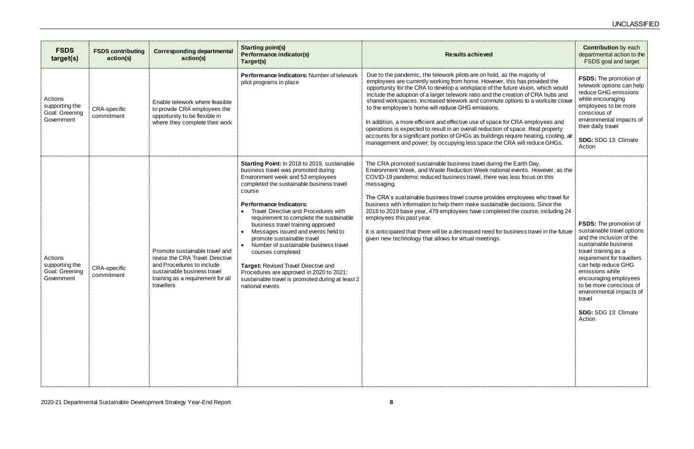| <b>FSDS</b><br>target(s)                                  | <b>FSDS contributing</b><br>action(s) | <b>Corresponding departmental</b><br>action(s)                                                                                                                                   | <b>Starting point(s)</b><br>Performance indicator(s)<br>Target(s)                                                                                                                                                                                                                                                                                                                                                                                                                                                                                                                                                                             | <b>Results achieved</b>                                                                                                                                                                                                                                                                                                                                                                                                                                                                                                                                                                                                                                                                                                                                                                                        | <b>Contribution</b> by each<br>departmental action to the<br>FSDS goal and target                                                                                                                                                                                                                                                                  |
|-----------------------------------------------------------|---------------------------------------|----------------------------------------------------------------------------------------------------------------------------------------------------------------------------------|-----------------------------------------------------------------------------------------------------------------------------------------------------------------------------------------------------------------------------------------------------------------------------------------------------------------------------------------------------------------------------------------------------------------------------------------------------------------------------------------------------------------------------------------------------------------------------------------------------------------------------------------------|----------------------------------------------------------------------------------------------------------------------------------------------------------------------------------------------------------------------------------------------------------------------------------------------------------------------------------------------------------------------------------------------------------------------------------------------------------------------------------------------------------------------------------------------------------------------------------------------------------------------------------------------------------------------------------------------------------------------------------------------------------------------------------------------------------------|----------------------------------------------------------------------------------------------------------------------------------------------------------------------------------------------------------------------------------------------------------------------------------------------------------------------------------------------------|
| Actions<br>supporting the<br>Goal: Greening<br>Government | <b>CRA-specific</b><br>commitment     | Enable telework where feasible<br>to provide CRA employees the<br>opportunity to be flexible in<br>where they complete their work                                                | <b>Performance Indicators: Number of telework</b><br>pilot programs in place                                                                                                                                                                                                                                                                                                                                                                                                                                                                                                                                                                  | Due to the pandemic, the telework pilots are on hold, as the majority of<br>employees are currently working from home. However, this has provided the<br>opportunity for the CRA to develop a workplace of the future vision, which would<br>include the adoption of a larger telework ratio and the creation of CRA hubs and<br>shared workspaces. Increased telework and commute options to a worksite closer<br>to the employee's home will reduce GHG emissions.<br>In addition, a more efficient and effective use of space for CRA employees and<br>operations is expected to result in an overall reduction of space. Real property<br>accounts for a significant portion of GHGs as buildings require heating, cooling, air<br>management and power; by occupying less space the CRA will reduce GHGs. | <b>FSDS:</b> The promotion of<br>telework options can help<br>reduce GHG emissions<br>while encouraging<br>employees to be more<br>conscious of<br>environmental impacts of<br>their daily travel<br>SDG: SDG 13: Climate<br>Action                                                                                                                |
| Actions<br>supporting the<br>Goal: Greening<br>Government | <b>CRA-specific</b><br>commitment     | Promote sustainable travel and<br>revise the CRA Travel Directive<br>and Procedures to include<br>sustainable business travel<br>training as a requirement for all<br>travellers | <b>Starting Point: In 2018 to 2019, sustainable</b><br>business travel was promoted during<br>Environment week and 53 employees<br>completed the sustainable business travel<br>course<br><b>Performance Indicators:</b><br>Travel Directive and Procedures with<br>requirement to complete the sustainable<br>business travel training approved<br>Messages issued and events held to<br>promote sustainable travel<br>Number of sustainable business travel<br>courses completed<br>Target: Revised Travel Directive and<br>Procedures are approved in 2020 to 2021;<br>sustainable travel is promoted during at least 2<br>national events | The CRA promoted sustainable business travel during the Earth Day,<br>Environment Week, and Waste Reduction Week national events. However, as the<br>COVID-19 pandemic reduced business travel, there was less focus on this<br>messaging.<br>The CRA's sustainable business travel course provides employees who travel for<br>business with information to help them make sustainable decisions. Since the<br>2018 to 2019 base year, 479 employees have completed the course, including 24<br>employees this past year.<br>It is anticipated that there will be a decreased need for business travel in the future<br>given new technology that allows for virtual meetings.                                                                                                                                | <b>FSDS:</b> The promotion of<br>sustainable travel options<br>and the inclusion of the<br>sustainable business<br>travel training as a<br>requirement for travellers<br>can help reduce GHG<br>emissions while<br>encouraging employees<br>to be more conscious of<br>environmental impacts of<br>travel<br><b>SDG: SDG 13: Climate</b><br>Action |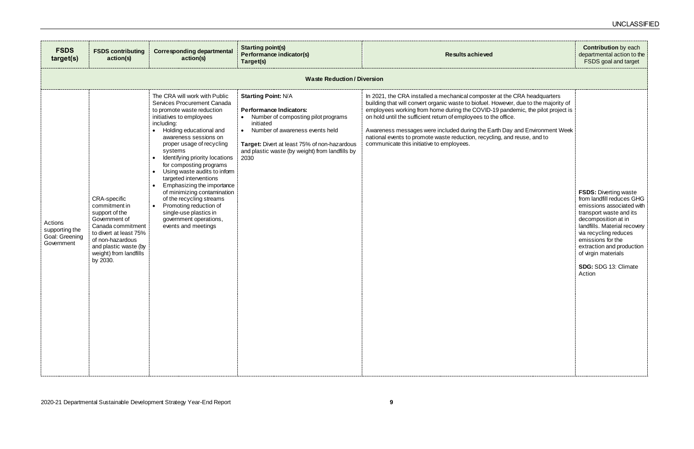| <b>FSDS</b><br>target(s)                                  | <b>FSDS contributing</b><br>action(s)                                                                                                                                                              | <b>Corresponding departmental</b><br>action(s)                                                                                                                                                                                                                                                                                                                                                                                                                                                                                                                     | <b>Starting point(s)</b><br><b>Performance indicator(s)</b><br>Target(s)                                                                                                                                                                                                    | <b>Results achieved</b>                                                                                                                                                                                                                                                                                                                                                                                                                                                                                                       |
|-----------------------------------------------------------|----------------------------------------------------------------------------------------------------------------------------------------------------------------------------------------------------|--------------------------------------------------------------------------------------------------------------------------------------------------------------------------------------------------------------------------------------------------------------------------------------------------------------------------------------------------------------------------------------------------------------------------------------------------------------------------------------------------------------------------------------------------------------------|-----------------------------------------------------------------------------------------------------------------------------------------------------------------------------------------------------------------------------------------------------------------------------|-------------------------------------------------------------------------------------------------------------------------------------------------------------------------------------------------------------------------------------------------------------------------------------------------------------------------------------------------------------------------------------------------------------------------------------------------------------------------------------------------------------------------------|
|                                                           |                                                                                                                                                                                                    |                                                                                                                                                                                                                                                                                                                                                                                                                                                                                                                                                                    | <b>Waste Reduction/Diversion</b>                                                                                                                                                                                                                                            |                                                                                                                                                                                                                                                                                                                                                                                                                                                                                                                               |
| Actions<br>supporting the<br>Goal: Greening<br>Government | CRA-specific<br>commitment in<br>support of the<br>Government of<br>Canada commitment<br>to divert at least 75%<br>of non-hazardous<br>and plastic waste (by<br>weight) from landfills<br>by 2030. | The CRA will work with Public<br>Services Procurement Canada<br>to promote waste reduction<br>initiatives to employees<br>including:<br>Holding educational and<br>awareness sessions on<br>proper usage of recycling<br>systems<br>Identifying priority locations<br>for composting programs<br>Using waste audits to inform<br>targeted interventions<br>Emphasizing the importance<br>of minimizing contamination<br>of the recycling streams<br>Promoting reduction of<br>$\bullet$<br>single-use plastics in<br>government operations,<br>events and meetings | <b>Starting Point: N/A</b><br><b>Performance Indicators:</b><br>Number of composting pilot programs<br>initiated<br>Number of awareness events held<br>$\bullet$<br>Target: Divert at least 75% of non-hazardous<br>and plastic waste (by weight) from landfills by<br>2030 | In 2021, the CRA installed a mechanical composter at the CRA headquarters<br>building that will convert organic waste to biofuel. However, due to the majority of<br>employees working from home during the COVID-19 pandemic, the pilot project is<br>on hold until the sufficient return of employees to the office.<br>Awareness messages were included during the Earth Day and Environment Week<br>national events to promote waste reduction, recycling, and reuse, and to<br>communicate this initiative to employees. |

|                                                                                    | <b>Contribution</b> by each<br>departmental action to the<br><b>FSDS</b> goal and target                                                                                                                                                                                                                          |
|------------------------------------------------------------------------------------|-------------------------------------------------------------------------------------------------------------------------------------------------------------------------------------------------------------------------------------------------------------------------------------------------------------------|
|                                                                                    |                                                                                                                                                                                                                                                                                                                   |
| CRA headquarters<br>r, due to the majority of<br>demic, the pilot project is<br>е. |                                                                                                                                                                                                                                                                                                                   |
| and Environment Week<br>d reuse, and to                                            |                                                                                                                                                                                                                                                                                                                   |
|                                                                                    |                                                                                                                                                                                                                                                                                                                   |
|                                                                                    | <b>FSDS: Diverting waste</b><br>from landfill reduces GHG<br>emissions associated with<br>transport waste and its<br>decomposition at in<br>landfills. Material recovery<br>via recycling reduces<br>emissions for the<br>extraction and production<br>of virgin materials<br>SDG: SDG 13: Climate<br>Action<br>J |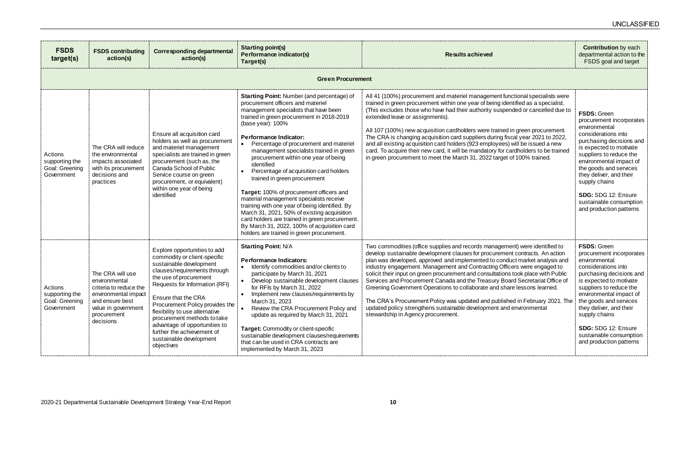| <b>FSDS</b><br>target(s)                                  | <b>FSDS contributing</b><br>action(s)                                                                                                                     | <b>Corresponding departmental</b><br>action(s)                                                                                                                                                                                                                                                                                                                                                                         | <b>Starting point(s)</b><br>Performance indicator(s)<br>Target(s)                                                                                                                                                                                                                                                                                                                                                                                                                                                                                                                                                                                                                                                                                                                             | <b>Results achieved</b>                                                                                                                                                                                                                                                                                                                                                                                                                                                                                                                                                                                                                                                                                                                                               | <b>Contribution</b> by each<br>departmental action to the<br>FSDS goal and target                                                                                                                                                                                                                                                                      |
|-----------------------------------------------------------|-----------------------------------------------------------------------------------------------------------------------------------------------------------|------------------------------------------------------------------------------------------------------------------------------------------------------------------------------------------------------------------------------------------------------------------------------------------------------------------------------------------------------------------------------------------------------------------------|-----------------------------------------------------------------------------------------------------------------------------------------------------------------------------------------------------------------------------------------------------------------------------------------------------------------------------------------------------------------------------------------------------------------------------------------------------------------------------------------------------------------------------------------------------------------------------------------------------------------------------------------------------------------------------------------------------------------------------------------------------------------------------------------------|-----------------------------------------------------------------------------------------------------------------------------------------------------------------------------------------------------------------------------------------------------------------------------------------------------------------------------------------------------------------------------------------------------------------------------------------------------------------------------------------------------------------------------------------------------------------------------------------------------------------------------------------------------------------------------------------------------------------------------------------------------------------------|--------------------------------------------------------------------------------------------------------------------------------------------------------------------------------------------------------------------------------------------------------------------------------------------------------------------------------------------------------|
|                                                           |                                                                                                                                                           |                                                                                                                                                                                                                                                                                                                                                                                                                        | <b>Green Procurement</b>                                                                                                                                                                                                                                                                                                                                                                                                                                                                                                                                                                                                                                                                                                                                                                      |                                                                                                                                                                                                                                                                                                                                                                                                                                                                                                                                                                                                                                                                                                                                                                       |                                                                                                                                                                                                                                                                                                                                                        |
| Actions<br>supporting the<br>Goal: Greening<br>Government | The CRA will reduce<br>the environmental<br>impacts associated<br>with its procurement<br>decisions and<br>practices                                      | Ensure all acquisition card<br>holders as well as procurement<br>and materiel management<br>specialists are trained in green<br>procurement (such as, the<br>Canada School of Public<br>Service course on green<br>procurement, or equivalent)<br>within one year of being<br>identified                                                                                                                               | <b>Starting Point: Number (and percentage) of</b><br>procurement officers and materiel<br>management specialists that have been<br>trained in green procurement in 2018-2019<br>(base year): 100%<br><b>Performance Indicator:</b><br>Percentage of procurement and materiel<br>management specialists trained in green<br>procurement within one year of being<br>identified<br>Percentage of acquisition card holders<br>trained in green procurement<br>Target: 100% of procurement officers and<br>material management specialists receive<br>training with one year of being identified. By<br>March 31, 2021, 50% of existing acquisition<br>card holders are trained in green procurement.<br>By March 31, 2022, 100% of acquisition card<br>holders are trained in green procurement. | All 41 (100%) procurement and materiel management functional specialists were<br>trained in green procurement within one year of being identified as a specialist.<br>(This excludes those who have had their authority suspended or cancelled due to<br>extended leave or assignments).<br>All 107 (100%) new acquisition cardholders were trained in green procurement.<br>The CRA is changing acquisition card suppliers during fiscal year 2021 to 2022,<br>and all existing acquisition card holders (923 employees) will be issued a new<br>card. To acquire their new card, it will be mandatory for cardholders to be trained<br>in green procurement to meet the March 31, 2022 target of 100% trained.                                                      | FSDS: Green<br>procurement incorporates<br>environmental<br>considerations into<br>purchasing decisions and<br>is expected to motivate<br>suppliers to reduce the<br>environmental impact of<br>the goods and services<br>they deliver, and their<br>supply chains<br>SDG: SDG 12: Ensure<br>sustainable consumption<br>and production patterns        |
| Actions<br>supporting the<br>Goal: Greening<br>Government | The CRA will use<br>environmental<br>criteria to reduce the<br>environmental impact<br>and ensure best<br>value in government<br>procurement<br>decisions | Explore opportunities to add<br>commodity or client-specific<br>sustainable development<br>clauses/requirements through<br>the use of procurement<br>Requests for Information (RFI)<br>Ensure that the CRA<br>Procurement Policy provides the<br>flexibility to use alternative<br>procurement methods to take<br>advantage of opportunities to<br>further the achievement of<br>sustainable development<br>objectives | <b>Starting Point: N/A</b><br><b>Performance Indicators:</b><br>Identify commodities and/or clients to<br>participate by March 31, 2021<br>Develop sustainable development clauses<br>for RFIs by March 31, 2022<br>Implement new clauses/requirements by<br>March 31, 2023<br>• Review the CRA Procurement Policy and<br>update as required by March 31, 2021<br>Target: Commodity or client-specific<br>sustainable development clauses/requirements<br>that can be used in CRA contracts are<br>implemented by March 31, 2023                                                                                                                                                                                                                                                              | Two commodities (office supplies and records management) were identified to<br>develop sustainable development clauses for procurement contracts. An action<br>plan was developed, approved and implemented to conduct market analysis and<br>industry engagement. Management and Contracting Officers were engaged to<br>solicit their input on green procurement and consultations took place with Public<br>Services and Procurement Canada and the Treasury Board Secretariat Office of<br>Greening Government Operations to collaborate and share lessons learned.<br>The CRA's Procurement Policy was updated and published in February 2021. The<br>updated policy strengthens sustainable development and environmental<br>stewardship in Agency procurement. | <b>FSDS: Green</b><br>procurement incorporates<br>environmental<br>considerations into<br>purchasing decisions and<br>is expected to motivate<br>suppliers to reduce the<br>environmental impact of<br>the goods and services<br>they deliver, and their<br>supply chains<br>SDG: SDG 12: Ensure<br>sustainable consumption<br>and production patterns |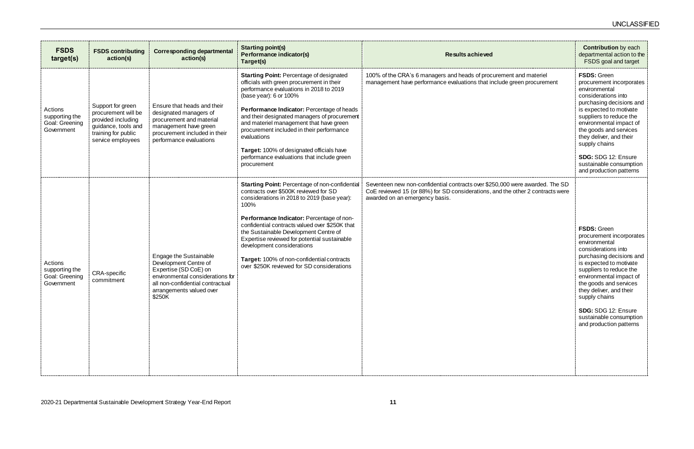| <b>FSDS</b><br>target(s)                                  | <b>FSDS contributing</b><br>action(s)                                                                                             | <b>Corresponding departmental</b><br>action(s)                                                                                                                                         | <b>Starting point(s)</b><br><b>Performance indicator(s)</b>                                                                                                                                                                                                                                                                                                                                                                                                                                   | <b>Results achieved</b>                                                                                                                                                                          |
|-----------------------------------------------------------|-----------------------------------------------------------------------------------------------------------------------------------|----------------------------------------------------------------------------------------------------------------------------------------------------------------------------------------|-----------------------------------------------------------------------------------------------------------------------------------------------------------------------------------------------------------------------------------------------------------------------------------------------------------------------------------------------------------------------------------------------------------------------------------------------------------------------------------------------|--------------------------------------------------------------------------------------------------------------------------------------------------------------------------------------------------|
| Actions<br>supporting the<br>Goal: Greening<br>Government | Support for green<br>procurement will be<br>provided including<br>guidance, tools and<br>training for public<br>service employees | Ensure that heads and their<br>designated managers of<br>procurement and material<br>management have green<br>procurement included in their<br>performance evaluations                 | Target(s)<br><b>Starting Point: Percentage of designated</b><br>officials with green procurement in their<br>performance evaluations in 2018 to 2019<br>(base year): 6 or 100%<br>Performance Indicator: Percentage of heads<br>and their designated managers of procurement<br>and materiel management that have green<br>procurement included in their performance<br>evaluations<br>Target: 100% of designated officials have<br>performance evaluations that include green<br>procurement | 100% of the CRA's 6 managers and heads of procurement and materiel<br>management have performance evaluations that include green procurement                                                     |
| Actions<br>supporting the<br>Goal: Greening<br>Government | <b>CRA-specific</b><br>commitment                                                                                                 | Engage the Sustainable<br>Development Centre of<br>Expertise (SD CoE) on<br>environmental considerations for<br>all non-confidential contractual<br>arrangements valued over<br>\$250K | Starting Point: Percentage of non-confidential<br>contracts over \$500K reviewed for SD<br>considerations in 2018 to 2019 (base year):<br>100%<br>Performance Indicator: Percentage of non-<br>confidential contracts valued over \$250K that<br>the Sustainable Development Centre of<br>Expertise reviewed for potential sustainable<br>development considerations<br>Target: 100% of non-confidential contracts<br>over \$250K reviewed for SD considerations                              | Seventeen new non-confidential contracts over \$250,000 were awarded. The SD<br>CoE reviewed 15 (or 88%) for SD considerations, and the other 2 contracts were<br>awarded on an emergency basis. |

|                                                     | <b>Contribution</b> by each<br>departmental action to the<br>FSDS goal and target                                                                                                                                                                                                                                                                      |
|-----------------------------------------------------|--------------------------------------------------------------------------------------------------------------------------------------------------------------------------------------------------------------------------------------------------------------------------------------------------------------------------------------------------------|
| ent and materiel<br>e green procurement             | <b>FSDS: Green</b><br>procurement incorporates<br>environmental<br>considerations into<br>purchasing decisions and<br>is expected to motivate<br>suppliers to reduce the<br>environmental impact of<br>the goods and services<br>they deliver, and their<br>supply chains<br>SDG: SDG 12: Ensure                                                       |
|                                                     | sustainable consumption<br>and production patterns                                                                                                                                                                                                                                                                                                     |
| 0 were awarded. The SD<br>he other 2 contracts were | <b>FSDS: Green</b><br>procurement incorporates<br>environmental<br>considerations into<br>purchasing decisions and<br>is expected to motivate<br>suppliers to reduce the<br>environmental impact of<br>the goods and services<br>they deliver, and their<br>supply chains<br>SDG: SDG 12: Ensure<br>sustainable consumption<br>and production patterns |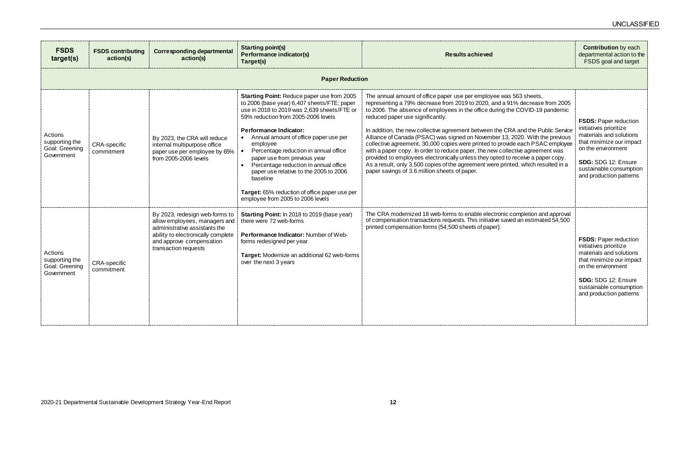| <b>FSDS</b><br>target(s)                                  | <b>FSDS contributing</b><br>action(s) | <b>Corresponding departmental</b><br>action(s)                                                                                                                                             | <b>Starting point(s)</b><br>Performance indicator(s)<br>Target(s)                                                                                                                                                                                                                                                                                                                                                                                                                                                                            | <b>Results achieved</b>                                                                                                                                                                                                                                                                                                                                                                                                                                                                                                                                                                                                                                                                                                                                                                                                               | <b>Contribution</b> by each<br>departmental action to the<br>FSDS goal and target                                                                                                                                |  |  |  |
|-----------------------------------------------------------|---------------------------------------|--------------------------------------------------------------------------------------------------------------------------------------------------------------------------------------------|----------------------------------------------------------------------------------------------------------------------------------------------------------------------------------------------------------------------------------------------------------------------------------------------------------------------------------------------------------------------------------------------------------------------------------------------------------------------------------------------------------------------------------------------|---------------------------------------------------------------------------------------------------------------------------------------------------------------------------------------------------------------------------------------------------------------------------------------------------------------------------------------------------------------------------------------------------------------------------------------------------------------------------------------------------------------------------------------------------------------------------------------------------------------------------------------------------------------------------------------------------------------------------------------------------------------------------------------------------------------------------------------|------------------------------------------------------------------------------------------------------------------------------------------------------------------------------------------------------------------|--|--|--|
|                                                           | <b>Paper Reduction</b>                |                                                                                                                                                                                            |                                                                                                                                                                                                                                                                                                                                                                                                                                                                                                                                              |                                                                                                                                                                                                                                                                                                                                                                                                                                                                                                                                                                                                                                                                                                                                                                                                                                       |                                                                                                                                                                                                                  |  |  |  |
| Actions<br>supporting the<br>Goal: Greening<br>Government | <b>CRA-specific</b><br>commitment     | By 2023, the CRA will reduce<br>internal multipurpose office<br>paper use per employee by 65%<br>from 2005-2006 levels                                                                     | <b>Starting Point: Reduce paper use from 2005</b><br>to 2006 (base year) 6,407 sheets/FTE; paper<br>use in 2018 to 2019 was 2,639 sheets/FTE or<br>59% reduction from 2005-2006 levels<br><b>Performance Indicator:</b><br>• Annual amount of office paper use per<br>employee<br>Percentage reduction in annual office<br>paper use from previous year<br>Percentage reduction in annual office<br>paper use relative to the 2005 to 2006<br>baseline<br>Target: 65% reduction of office paper use per<br>employee from 2005 to 2006 levels | The annual amount of office paper use per employee was 563 sheets,<br>representing a 79% decrease from 2019 to 2020, and a 91% decrease from 2005<br>to 2006. The absence of employees in the office during the COVID-19 pandemic<br>reduced paper use significantly.<br>In addition, the new collective agreement between the CRA and the Public Service<br>Alliance of Canada (PSAC) was signed on November 13, 2020. With the previous<br>collective agreement, 30,000 copies were printed to provide each PSAC employee<br>with a paper copy. In order to reduce paper, the new collective agreement was<br>provided to employees electronically unless they opted to receive a paper copy.<br>As a result, only 3,500 copies of the agreement were printed, which resulted in a<br>paper savings of 3.6 million sheets of paper. | <b>FSDS: Paper reduction</b><br>initiatives prioritize<br>materials and solutions<br>that minimize our impact<br>on the environment<br>SDG: SDG 12: Ensure<br>sustainable consumption<br>and production patterns |  |  |  |
| Actions<br>supporting the<br>Goal: Greening<br>Government | <b>CRA-specific</b><br>commitment     | By 2023, redesign web-forms to<br>allow employees, managers and<br>administrative assistants the<br>ability to electronically complete<br>and approve compensation<br>transaction requests | <b>Starting Point:</b> In 2018 to 2019 (base year)<br>there were 72 web-forms<br>Performance Indicator: Number of Web-<br>forms redesigned per year<br>Target: Modernize an additional 62 web-forms<br>over the next 3 years                                                                                                                                                                                                                                                                                                                 | The CRA modernized 18 web-forms to enable electronic completion and approval<br>of compensation transactions requests. This initiative saved an estimated 54,500<br>printed compensation forms (54,500 sheets of paper).                                                                                                                                                                                                                                                                                                                                                                                                                                                                                                                                                                                                              | <b>FSDS: Paper reduction</b><br>initiatives prioritize<br>materials and solutions<br>that minimize our impact<br>on the environment<br>SDG: SDG 12: Ensure<br>sustainable consumption<br>and production patterns |  |  |  |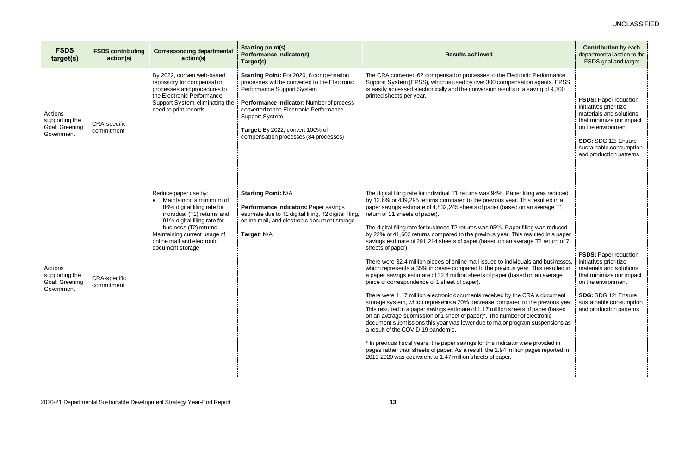| <b>FSDS</b><br>target(s)                                  | <b>FSDS contributing</b><br>action(s) | <b>Corresponding departmental</b><br>action(s)                                                                                                                                                                                                           | <b>Starting point(s)</b><br>Performance indicator(s)<br>Target(s)                                                                                                                                                                                                                                                    | <b>Results achieved</b>                                                                                                                                                                                                                                                                                                                                                                                                                                                                                                                                                                                                                                                                                                                                                                                                                                                                                                                                                                                                                                                                                                                                                                                                                                                                                                                                                                                                                                                                                                                                                           | <b>Contribution</b> by each<br>departmental action to the<br>FSDS goal and target                                                                                                                                |
|-----------------------------------------------------------|---------------------------------------|----------------------------------------------------------------------------------------------------------------------------------------------------------------------------------------------------------------------------------------------------------|----------------------------------------------------------------------------------------------------------------------------------------------------------------------------------------------------------------------------------------------------------------------------------------------------------------------|-----------------------------------------------------------------------------------------------------------------------------------------------------------------------------------------------------------------------------------------------------------------------------------------------------------------------------------------------------------------------------------------------------------------------------------------------------------------------------------------------------------------------------------------------------------------------------------------------------------------------------------------------------------------------------------------------------------------------------------------------------------------------------------------------------------------------------------------------------------------------------------------------------------------------------------------------------------------------------------------------------------------------------------------------------------------------------------------------------------------------------------------------------------------------------------------------------------------------------------------------------------------------------------------------------------------------------------------------------------------------------------------------------------------------------------------------------------------------------------------------------------------------------------------------------------------------------------|------------------------------------------------------------------------------------------------------------------------------------------------------------------------------------------------------------------|
| Actions<br>supporting the<br>Goal: Greening<br>Government | <b>CRA-specific</b><br>commitment     | By 2022, convert web-based<br>repository for compensation<br>processes and procedures to<br>the Electronic Performance<br>Support System, eliminating the<br>need to print records                                                                       | Starting Point: For 2020, 8 compensation<br>processes will be converted to the Electronic<br>Performance Support System<br>Performance Indicator: Number of process<br>converted to the Electronic Performance<br><b>Support System</b><br>Target: By 2022, convert 100% of<br>compensation processes (84 processes) | The CRA converted 62 compensation processes to the Electronic Performance<br>Support System (EPSS), which is used by over 300 compensation agents. EPSS<br>is easily accessed electronically and the conversion results in a saving of 9,300<br>printed sheets per year.                                                                                                                                                                                                                                                                                                                                                                                                                                                                                                                                                                                                                                                                                                                                                                                                                                                                                                                                                                                                                                                                                                                                                                                                                                                                                                          | <b>FSDS: Paper reduction</b><br>initiatives prioritize<br>materials and solutions<br>that minimize our impact<br>on the environment<br>SDG: SDG 12: Ensure<br>sustainable consumption<br>and production patterns |
| Actions<br>supporting the<br>Goal: Greening<br>Government | CRA-specific<br>commitment            | Reduce paper use by:<br>Maintaining a minimum of<br>86% digital filing rate for<br>individual (T1) returns and<br>91% digital filing rate for<br>business (T2) returns<br>Maintaining current usage of<br>online mail and electronic<br>document storage | <b>Starting Point: N/A</b><br>Performance Indicators: Paper savings<br>estimate due to T1 digital filing, T2 digital filing,<br>online mail, and electronic document storage<br>Target: N/A                                                                                                                          | The digital filing rate for individual T1 returns was 94%. Paper filing was reduced<br>by 12.6% or 439,295 returns compared to the previous year. This resulted in a<br>paper savings estimate of 4,832,245 sheets of paper (based on an average T1<br>return of 11 sheets of paper).<br>The digital filing rate for business T2 returns was 95%. Paper filing was reduced<br>by 22% or 41,602 returns compared to the previous year. This resulted in a paper<br>savings estimate of 291,214 sheets of paper (based on an average T2 return of 7<br>sheets of paper).<br>There were 32.4 million pieces of online mail issued to individuals and businesses,<br>which represents a 35% increase compared to the previous year. This resulted in<br>a paper savings estimate of 32.4 million sheets of paper (based on an average<br>piece of correspondence of 1 sheet of paper).<br>There were 1.17 million electronic documents received by the CRA's document<br>storage system, which represents a 20% decrease compared to the previous year.<br>This resulted in a paper savings estimate of 1.17 million sheets of paper (based<br>on an average submission of 1 sheet of paper)*. The number of electronic<br>document submissions this year was lower due to major program suspensions as<br>a result of the COVID-19 pandemic.<br>* In previous fiscal years, the paper savings for this indicator were provided in<br>pages rather than sheets of paper. As a result, the 2.94 million pages reported in<br>2019-2020 was equivalent to 1.47 million sheets of paper. | <b>FSDS: Paper reduction</b><br>initiatives prioritize<br>materials and solutions<br>that minimize our impact<br>on the environment<br>SDG: SDG 12: Ensure<br>sustainable consumption<br>and production patterns |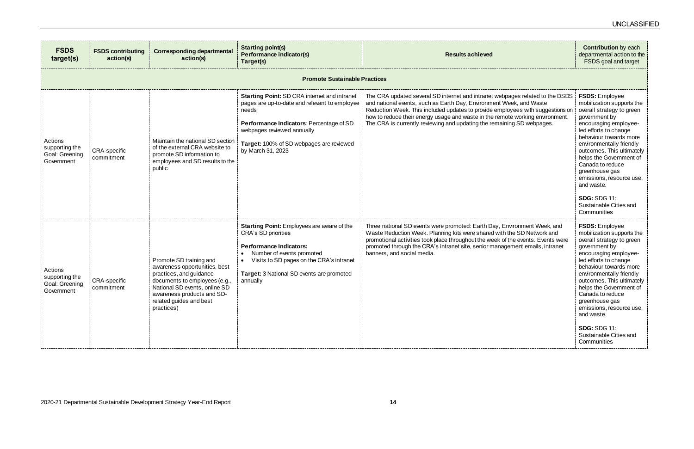|                                                                                                                   | <b>Contribution</b> by each<br>departmental action to the<br><b>FSDS</b> goal and target                                                                                                                                                                                                                                                                                |
|-------------------------------------------------------------------------------------------------------------------|-------------------------------------------------------------------------------------------------------------------------------------------------------------------------------------------------------------------------------------------------------------------------------------------------------------------------------------------------------------------------|
|                                                                                                                   |                                                                                                                                                                                                                                                                                                                                                                         |
| ges related to the DSDS<br>ek, and Waste<br>yees with suggestions on<br>e working environment.<br>ng SD webpages. | <b>FSDS: Employee</b><br>mobilization supports the<br>overall strategy to green<br>government by<br>encouraging employee-<br>led efforts to change<br>behaviour towards more<br>environmentally friendly<br>outcomes. This ultimately<br>helps the Government of<br>Canada to reduce<br>greenhouse gas<br>emissions, resource use,<br>and waste.<br><b>SDG: SDG 11:</b> |
|                                                                                                                   | Sustainable Cities and<br>Communities                                                                                                                                                                                                                                                                                                                                   |
| <i>i</i> ronment Week, and<br>าe SD Network and<br>าe events. Events were<br>ment emails, intranet                | <b>FSDS: Employee</b><br>mobilization supports the<br>overall strategy to green<br>government by<br>encouraging employee-<br>led efforts to change<br>behaviour towards more<br>environmentally friendly<br>outcomes. This ultimately<br>helps the Government of<br>Canada to reduce<br>greenhouse gas<br>emissions, resource use,<br>and waste.                        |
|                                                                                                                   | <b>SDG: SDG 11:</b><br>Sustainable Cities and<br>Communities                                                                                                                                                                                                                                                                                                            |

| <b>FSDS</b><br>target(s)                                  | <b>FSDS contributing</b><br>action(s) | <b>Corresponding departmental</b><br>action(s)                                                                                                                                                                               | <b>Starting point(s)</b><br>Performance indicator(s)<br>Target(s)                                                                                                                                                                                        | <b>Results achieved</b>                                                                                                                                                                                                                                                                                                                                                                           |
|-----------------------------------------------------------|---------------------------------------|------------------------------------------------------------------------------------------------------------------------------------------------------------------------------------------------------------------------------|----------------------------------------------------------------------------------------------------------------------------------------------------------------------------------------------------------------------------------------------------------|---------------------------------------------------------------------------------------------------------------------------------------------------------------------------------------------------------------------------------------------------------------------------------------------------------------------------------------------------------------------------------------------------|
|                                                           |                                       |                                                                                                                                                                                                                              | <b>Promote Sustainable Practices</b>                                                                                                                                                                                                                     |                                                                                                                                                                                                                                                                                                                                                                                                   |
| Actions<br>supporting the<br>Goal: Greening<br>Government | <b>CRA-specific</b><br>commitment     | Maintain the national SD section<br>of the external CRA website to<br>promote SD information to<br>employees and SD results to the<br>public                                                                                 | <b>Starting Point: SD CRA internet and intranet</b><br>pages are up-to-date and relevant to employee<br>needs<br>Performance Indicators: Percentage of SD<br>webpages reviewed annually<br>Target: 100% of SD webpages are reviewed<br>by March 31, 2023 | The CRA updated several SD internet and intranet webpages related to the DSDS<br>and national events, such as Earth Day, Environment Week, and Waste<br>Reduction Week. This included updates to provide employees with suggestions on<br>how to reduce their energy usage and waste in the remote working environment.<br>The CRA is currently reviewing and updating the remaining SD webpages. |
| Actions<br>supporting the<br>Goal: Greening<br>Government | <b>CRA-specific</b><br>commitment     | Promote SD training and<br>awareness opportunities, best<br>practices, and guidance<br>documents to employees (e.g.,<br>National SD events, online SD<br>awareness products and SD-<br>related guides and best<br>practices) | Starting Point: Employees are aware of the<br>CRA's SD priorities<br><b>Performance Indicators:</b><br>Number of events promoted<br>Visits to SD pages on the CRA's intranet<br>$\bullet$<br>Target: 3 National SD events are promoted<br>annually       | Three national SD events were promoted: Earth Day, Environment Week, and<br>Waste Reduction Week. Planning kits were shared with the SD Network and<br>promotional activities took place throughout the week of the events. Events were<br>promoted through the CRA's intranet site, senior management emails, intranet<br>banners, and social media.                                             |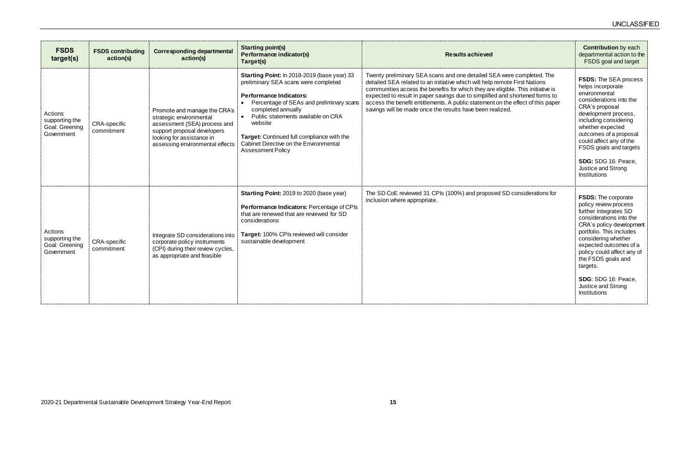| <b>FSDS</b><br>target(s)                                  | <b>FSDS contributing</b><br>action(s) | <b>Corresponding departmental</b><br>action(s)                                                                                                                                         | <b>Starting point(s)</b><br>Performance indicator(s)<br>Target(s)                                                                                                                                                                                                                                                                                              | <b>Results achieved</b>                                                                                                                                                                                                                                                                                                                                                                                                                                                | <b>Contribution</b> by each<br>departmental action to the<br>FSDS goal and target                                                                                                                                                                                                                                                                    |
|-----------------------------------------------------------|---------------------------------------|----------------------------------------------------------------------------------------------------------------------------------------------------------------------------------------|----------------------------------------------------------------------------------------------------------------------------------------------------------------------------------------------------------------------------------------------------------------------------------------------------------------------------------------------------------------|------------------------------------------------------------------------------------------------------------------------------------------------------------------------------------------------------------------------------------------------------------------------------------------------------------------------------------------------------------------------------------------------------------------------------------------------------------------------|------------------------------------------------------------------------------------------------------------------------------------------------------------------------------------------------------------------------------------------------------------------------------------------------------------------------------------------------------|
| Actions<br>supporting the<br>Goal: Greening<br>Government | <b>CRA-specific</b><br>commitment     | Promote and manage the CRA's<br>strategic environmental<br>assessment (SEA) process and<br>support proposal developers<br>looking for assistance in<br>assessing environmental effects | Starting Point: In 2018-2019 (base year) 33<br>preliminary SEA scans were completed<br><b>Performance Indicators:</b><br>Percentage of SEAs and preliminary scans<br>completed annually<br>• Public statements available on CRA<br>website<br>Target: Continued full compliance with the<br>Cabinet Directive on the Environmental<br><b>Assessment Policy</b> | Twenty preliminary SEA scans and one detailed SEA were completed. The<br>detailed SEA related to an initiative which will help remote First Nations<br>communities access the benefits for which they are eligible. This initiative is<br>expected to result in paper savings due to simplified and shortened forms to<br>access the benefit entitlements. A public statement on the effect of this paper<br>savings will be made once the results have been realized. | <b>FSDS:</b> The SEA process<br>helps incorporate<br>environmental<br>considerations into the<br>CRA's proposal<br>development process,<br>including considering<br>whether expected<br>outcomes of a proposal<br>could affect any of the<br>FSDS goals and targets<br>SDG: SDG 16: Peace.<br>Justice and Strong<br>Institutions                     |
| Actions<br>supporting the<br>Goal: Greening<br>Government | CRA-specific<br>commitment            | Integrate SD considerations into<br>corporate policy instruments<br>(CPI) during their review cycles,<br>as appropriate and feasible                                                   | Starting Point: 2019 to 2020 (base year)<br>Performance Indicators: Percentage of CPIs<br>that are renewed that are reviewed for SD<br>considerations<br>Target: 100% CPIs reviewed will consider<br>sustainable development                                                                                                                                   | The SD CoE reviewed 31 CPIs (100%) and proposed SD considerations for<br>inclusion where appropriate.                                                                                                                                                                                                                                                                                                                                                                  | <b>FSDS:</b> The corporate<br>policy review process<br>further integrates SD<br>considerations into the<br>CRA's policy development<br>portfolio. This includes<br>considering whether<br>expected outcomes of a<br>policy could affect any of<br>the FSDS goals and<br>targets.<br>SDG: SDG 16: Peace,<br>Justice and Strong<br><b>Institutions</b> |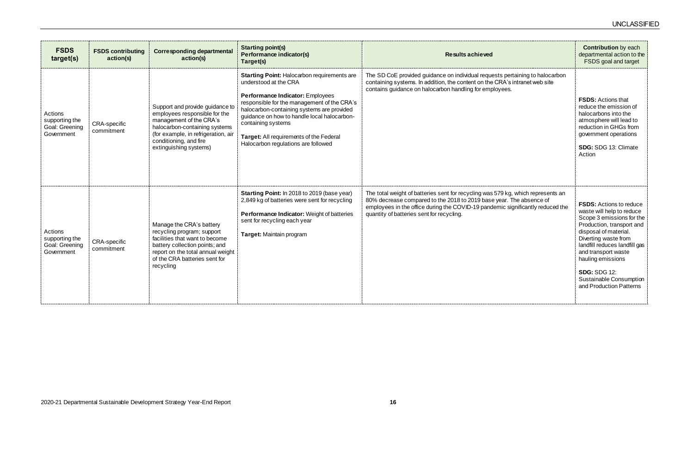| <b>FSDS</b><br>target(s)                                  | <b>FSDS contributing</b><br>action(s) | <b>Corresponding departmental</b><br>action(s)                                                                                                                                                                          | <b>Starting point(s)</b><br>Performance indicator(s)<br>Target(s)                                                                                                                                                                                                                                                                                                   | <b>Results achieved</b>                                                                                                                                                                                                                                                                | <b>Contribution</b> by each<br>departmental action to the<br>FSDS goal and target                                                                                                                                                                                                                                                |
|-----------------------------------------------------------|---------------------------------------|-------------------------------------------------------------------------------------------------------------------------------------------------------------------------------------------------------------------------|---------------------------------------------------------------------------------------------------------------------------------------------------------------------------------------------------------------------------------------------------------------------------------------------------------------------------------------------------------------------|----------------------------------------------------------------------------------------------------------------------------------------------------------------------------------------------------------------------------------------------------------------------------------------|----------------------------------------------------------------------------------------------------------------------------------------------------------------------------------------------------------------------------------------------------------------------------------------------------------------------------------|
| Actions<br>supporting the<br>Goal: Greening<br>Government | CRA-specific<br>commitment            | Support and provide guidance to<br>employees responsible for the<br>management of the CRA's<br>halocarbon-containing systems<br>(for example, in refrigeration, air<br>conditioning, and fire<br>extinguishing systems) | <b>Starting Point: Halocarbon requirements are</b><br>understood at the CRA<br>Performance Indicator: Employees<br>responsible for the management of the CRA's<br>halocarbon-containing systems are provided<br>guidance on how to handle local halocarbon-<br>containing systems<br>Target: All requirements of the Federal<br>Halocarbon regulations are followed | The SD CoE provided guidance on individual requests pertaining to halocarbon<br>containing systems. In addition, the content on the CRA's intranet web site<br>contains guidance on halocarbon handling for employees.                                                                 | <b>FSDS: Actions that</b><br>reduce the emission of<br>halocarbons into the<br>atmosphere will lead to<br>reduction in GHGs from<br>government operations<br>SDG: SDG 13: Climate<br>Action                                                                                                                                      |
| Actions<br>supporting the<br>Goal: Greening<br>Government | CRA-specific<br>commitment            | Manage the CRA's battery<br>recycling program; support<br>facilities that want to become<br>battery collection points; and<br>report on the total annual weight<br>of the CRA batteries sent for<br>recycling           | Starting Point: In 2018 to 2019 (base year)<br>2,849 kg of batteries were sent for recycling<br>Performance Indicator: Weight of batteries<br>sent for recycling each year<br>Target: Maintain program                                                                                                                                                              | The total weight of batteries sent for recycling was 579 kg, which represents an<br>80% decrease compared to the 2018 to 2019 base year. The absence of<br>employees in the office during the COVID-19 pandemic significantly reduced the<br>quantity of batteries sent for recycling. | <b>FSDS:</b> Actions to reduce<br>waste will help to reduce<br>Scope 3 emissions for the<br>Production, transport and<br>disposal of material.<br>Diverting waste from<br>landfill reduces landfill gas<br>and transport waste<br>hauling emissions<br><b>SDG: SDG 12:</b><br>Sustainable Consumption<br>and Production Patterns |